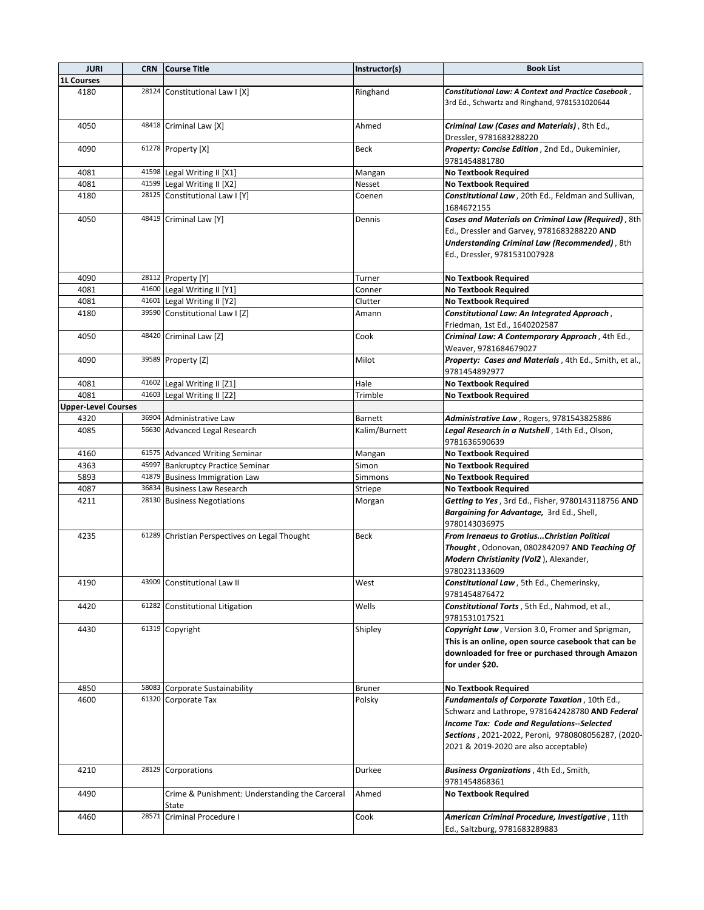| <b>JURI</b>                | <b>CRN</b> | <b>Course Title</b>                                     | Instructor(s) | <b>Book List</b>                                                                                                                                                                             |
|----------------------------|------------|---------------------------------------------------------|---------------|----------------------------------------------------------------------------------------------------------------------------------------------------------------------------------------------|
| <b>1L Courses</b>          |            |                                                         |               |                                                                                                                                                                                              |
| 4180                       |            | 28124 Constitutional Law I [X]                          | Ringhand      | Constitutional Law: A Context and Practice Casebook,<br>3rd Ed., Schwartz and Ringhand, 9781531020644                                                                                        |
| 4050                       |            | 48418 Criminal Law [X]                                  | Ahmed         | Criminal Law (Cases and Materials), 8th Ed.,<br>Dressler, 9781683288220                                                                                                                      |
| 4090                       |            | 61278 Property [X]                                      | Beck          | Property: Concise Edition, 2nd Ed., Dukeminier,                                                                                                                                              |
|                            |            |                                                         |               | 9781454881780                                                                                                                                                                                |
| 4081                       |            | 41598 Legal Writing II [X1]                             | Mangan        | <b>No Textbook Required</b>                                                                                                                                                                  |
| 4081                       |            | 41599 Legal Writing II [X2]                             | Nesset        | <b>No Textbook Required</b>                                                                                                                                                                  |
| 4180                       |            | 28125 Constitutional Law I [Y]                          | Coenen        | Constitutional Law, 20th Ed., Feldman and Sullivan,<br>1684672155                                                                                                                            |
| 4050                       |            | 48419 Criminal Law [Y]                                  | Dennis        | Cases and Materials on Criminal Law (Required), 8th<br>Ed., Dressler and Garvey, 9781683288220 AND<br><b>Understanding Criminal Law (Recommended)</b> , 8th<br>Ed., Dressler, 9781531007928  |
| 4090                       |            | 28112 Property [Y]                                      | Turner        | <b>No Textbook Required</b>                                                                                                                                                                  |
| 4081                       |            | 41600 Legal Writing II [Y1]                             | Conner        | <b>No Textbook Required</b>                                                                                                                                                                  |
| 4081                       |            | 41601 Legal Writing II [Y2]                             | Clutter       | <b>No Textbook Required</b>                                                                                                                                                                  |
| 4180                       |            | 39590 Constitutional Law I [Z]                          | Amann         | Constitutional Law: An Integrated Approach,                                                                                                                                                  |
|                            |            |                                                         |               | Friedman, 1st Ed., 1640202587                                                                                                                                                                |
| 4050                       |            | 48420 Criminal Law [Z]                                  | Cook          |                                                                                                                                                                                              |
|                            |            |                                                         |               | Criminal Law: A Contemporary Approach, 4th Ed.,<br>Weaver, 9781684679027                                                                                                                     |
| 4090                       |            | 39589 Property [Z]                                      | Milot         | Property: Cases and Materials, 4th Ed., Smith, et al.,<br>9781454892977                                                                                                                      |
| 4081                       |            | 41602 Legal Writing II [Z1]                             | Hale          | <b>No Textbook Required</b>                                                                                                                                                                  |
| 4081                       |            | 41603 Legal Writing II [Z2]                             | Trimble       | <b>No Textbook Required</b>                                                                                                                                                                  |
| <b>Upper-Level Courses</b> |            |                                                         |               |                                                                                                                                                                                              |
| 4320                       |            | 36904 Administrative Law                                | Barnett       | Administrative Law, Rogers, 9781543825886                                                                                                                                                    |
| 4085                       |            | 56630 Advanced Legal Research                           | Kalim/Burnett | Legal Research in a Nutshell, 14th Ed., Olson,                                                                                                                                               |
|                            |            |                                                         |               | 9781636590639                                                                                                                                                                                |
| 4160                       |            | 61575 Advanced Writing Seminar                          | Mangan        | <b>No Textbook Required</b>                                                                                                                                                                  |
| 4363                       |            | 45997 Bankruptcy Practice Seminar                       | Simon         | <b>No Textbook Required</b>                                                                                                                                                                  |
| 5893                       |            | 41879 Business Immigration Law                          | Simmons       | <b>No Textbook Required</b>                                                                                                                                                                  |
| 4087                       |            | 36834 Business Law Research                             | Striepe       | <b>No Textbook Required</b>                                                                                                                                                                  |
| 4211                       |            | 28130 Business Negotiations                             | Morgan        | Getting to Yes, 3rd Ed., Fisher, 9780143118756 AND<br>Bargaining for Advantage, 3rd Ed., Shell,<br>9780143036975                                                                             |
| 4235                       |            | 61289 Christian Perspectives on Legal Thought           | <b>Beck</b>   | <b>From Irenaeus to GrotiusChristian Political</b><br>Thought, Odonovan, 0802842097 AND Teaching Of<br>Modern Christianity (Vol2), Alexander,<br>9780231133609                               |
| 4190                       |            | 43909 Constitutional Law II                             | West          | Constitutional Law, 5th Ed., Chemerinsky,<br>9781454876472                                                                                                                                   |
| 4420                       |            | 61282 Constitutional Litigation                         | Wells         | Constitutional Torts, 5th Ed., Nahmod, et al.,<br>9781531017521                                                                                                                              |
| 4430                       |            | 61319 Copyright                                         | Shipley       | Copyright Law, Version 3.0, Fromer and Sprigman,<br>This is an online, open source casebook that can be<br>downloaded for free or purchased through Amazon<br>for under \$20.                |
| 4850                       |            | 58083 Corporate Sustainability                          | <b>Bruner</b> | <b>No Textbook Required</b>                                                                                                                                                                  |
| 4600                       |            | 61320 Corporate Tax                                     | Polsky        | Fundamentals of Corporate Taxation, 10th Ed.,                                                                                                                                                |
|                            |            |                                                         |               | Schwarz and Lathrope, 9781642428780 AND Federal<br>Income Tax: Code and Regulations--Selected<br>Sections, 2021-2022, Peroni, 9780808056287, (2020-<br>2021 & 2019-2020 are also acceptable) |
| 4210                       |            | 28129 Corporations                                      | Durkee        | Business Organizations, 4th Ed., Smith,<br>9781454868361                                                                                                                                     |
| 4490                       |            | Crime & Punishment: Understanding the Carceral<br>State | Ahmed         | <b>No Textbook Required</b>                                                                                                                                                                  |
| 4460                       | 28571      | Criminal Procedure I                                    | Cook          | American Criminal Procedure, Investigative, 11th<br>Ed., Saltzburg, 9781683289883                                                                                                            |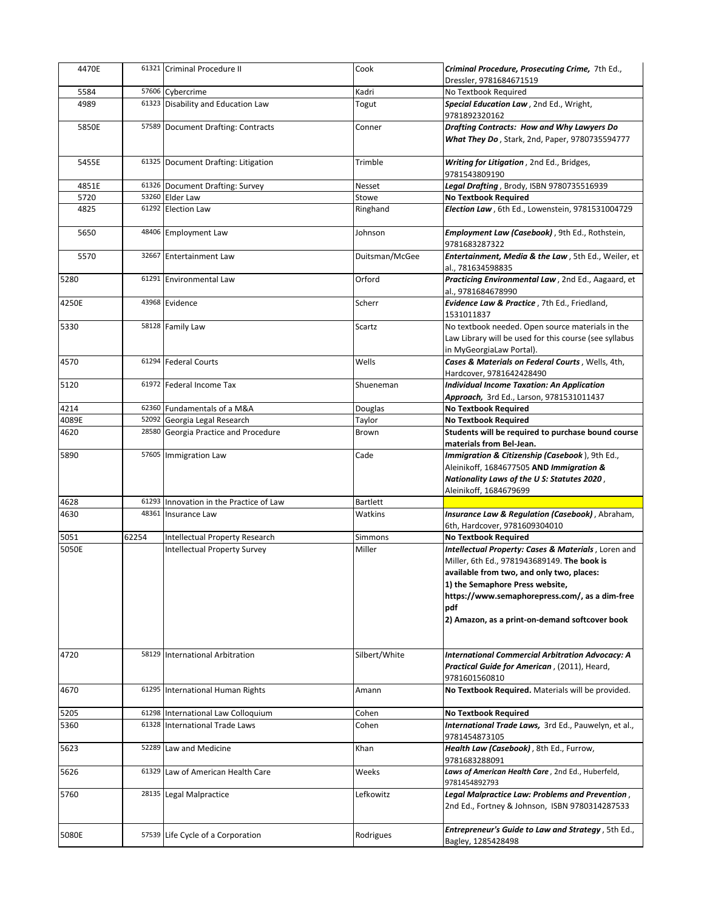| 4470E |       | 61321 Criminal Procedure II             | Cook            | Criminal Procedure, Prosecuting Crime, 7th Ed.,<br>Dressler, 9781684671519                                                                                                                                                                                                                    |
|-------|-------|-----------------------------------------|-----------------|-----------------------------------------------------------------------------------------------------------------------------------------------------------------------------------------------------------------------------------------------------------------------------------------------|
| 5584  |       | 57606 Cybercrime                        | Kadri           | No Textbook Required                                                                                                                                                                                                                                                                          |
| 4989  |       | 61323 Disability and Education Law      | Togut           | Special Education Law, 2nd Ed., Wright,<br>9781892320162                                                                                                                                                                                                                                      |
| 5850E |       | 57589 Document Drafting: Contracts      | Conner          | Drafting Contracts: How and Why Lawyers Do<br>What They Do, Stark, 2nd, Paper, 9780735594777                                                                                                                                                                                                  |
| 5455E |       | 61325 Document Drafting: Litigation     | Trimble         | Writing for Litigation, 2nd Ed., Bridges,<br>9781543809190                                                                                                                                                                                                                                    |
| 4851E |       | 61326 Document Drafting: Survey         | <b>Nesset</b>   | Legal Drafting, Brody, ISBN 9780735516939                                                                                                                                                                                                                                                     |
| 5720  |       | 53260 Elder Law                         | Stowe           | <b>No Textbook Required</b>                                                                                                                                                                                                                                                                   |
| 4825  |       | 61292 Election Law                      | Ringhand        | Election Law, 6th Ed., Lowenstein, 9781531004729                                                                                                                                                                                                                                              |
| 5650  |       | 48406 Employment Law                    | Johnson         | Employment Law (Casebook), 9th Ed., Rothstein,<br>9781683287322                                                                                                                                                                                                                               |
| 5570  |       | 32667 Entertainment Law                 | Duitsman/McGee  | Entertainment, Media & the Law, 5th Ed., Weiler, et<br>al., 781634598835                                                                                                                                                                                                                      |
| 5280  | 61291 | <b>Environmental Law</b>                | Orford          | Practicing Environmental Law, 2nd Ed., Aagaard, et<br>al., 9781684678990                                                                                                                                                                                                                      |
| 4250E |       | 43968 Evidence                          | Scherr          | Evidence Law & Practice, 7th Ed., Friedland,<br>1531011837                                                                                                                                                                                                                                    |
| 5330  |       | 58128 Family Law                        | Scartz          | No textbook needed. Open source materials in the<br>Law Library will be used for this course (see syllabus<br>in MyGeorgiaLaw Portal).                                                                                                                                                        |
| 4570  |       | 61294 Federal Courts                    | Wells           | Cases & Materials on Federal Courts, Wells, 4th,<br>Hardcover, 9781642428490                                                                                                                                                                                                                  |
| 5120  |       | 61972 Federal Income Tax                | Shueneman       | <b>Individual Income Taxation: An Application</b><br>Approach, 3rd Ed., Larson, 9781531011437                                                                                                                                                                                                 |
| 4214  |       | 62360 Fundamentals of a M&A             | Douglas         | <b>No Textbook Required</b>                                                                                                                                                                                                                                                                   |
| 4089E |       | 52092 Georgia Legal Research            | Taylor          | <b>No Textbook Required</b>                                                                                                                                                                                                                                                                   |
| 4620  |       | 28580 Georgia Practice and Procedure    | Brown           | Students will be required to purchase bound course                                                                                                                                                                                                                                            |
|       |       |                                         |                 | materials from Bel-Jean.                                                                                                                                                                                                                                                                      |
| 5890  |       | 57605 Immigration Law                   | Cade            | Immigration & Citizenship (Casebook), 9th Ed.,<br>Aleinikoff, 1684677505 AND Immigration &<br>Nationality Laws of the U S: Statutes 2020,<br>Aleinikoff, 1684679699                                                                                                                           |
| 4628  |       | 61293 Innovation in the Practice of Law | <b>Bartlett</b> |                                                                                                                                                                                                                                                                                               |
| 4630  | 48361 | Insurance Law                           | Watkins         | Insurance Law & Regulation (Casebook), Abraham,<br>6th, Hardcover, 9781609304010                                                                                                                                                                                                              |
| 5051  | 62254 | Intellectual Property Research          | Simmons         | <b>No Textbook Required</b>                                                                                                                                                                                                                                                                   |
| 5050E |       | Intellectual Property Survey            | Miller          | Intellectual Property: Cases & Materials, Loren and<br>Miller, 6th Ed., 9781943689149. The book is<br>available from two, and only two, places:<br>1) the Semaphore Press website,<br>https://www.semaphorepress.com/, as a dim-free<br>pdf<br>2) Amazon, as a print-on-demand softcover book |
| 4720  |       | 58129 International Arbitration         | Silbert/White   | <b>International Commercial Arbitration Advocacy: A</b><br>Practical Guide for American, (2011), Heard,<br>9781601560810                                                                                                                                                                      |
| 4670  | 61295 | International Human Rights              | Amann           | No Textbook Required. Materials will be provided.                                                                                                                                                                                                                                             |
| 5205  | 61298 | International Law Colloquium            | Cohen           | <b>No Textbook Required</b>                                                                                                                                                                                                                                                                   |
| 5360  | 61328 | <b>International Trade Laws</b>         | Cohen           | International Trade Laws, 3rd Ed., Pauwelyn, et al.,<br>9781454873105                                                                                                                                                                                                                         |
| 5623  | 52289 | Law and Medicine                        | Khan            | Health Law (Casebook), 8th Ed., Furrow,<br>9781683288091                                                                                                                                                                                                                                      |
| 5626  | 61329 | Law of American Health Care             | Weeks           | Laws of American Health Care, 2nd Ed., Huberfeld,<br>9781454892793                                                                                                                                                                                                                            |
| 5760  |       | 28135 Legal Malpractice                 | Lefkowitz       | Legal Malpractice Law: Problems and Prevention,<br>2nd Ed., Fortney & Johnson, ISBN 9780314287533                                                                                                                                                                                             |
| 5080E |       | 57539 Life Cycle of a Corporation       | Rodrigues       | Entrepreneur's Guide to Law and Strategy, 5th Ed.,<br>Bagley, 1285428498                                                                                                                                                                                                                      |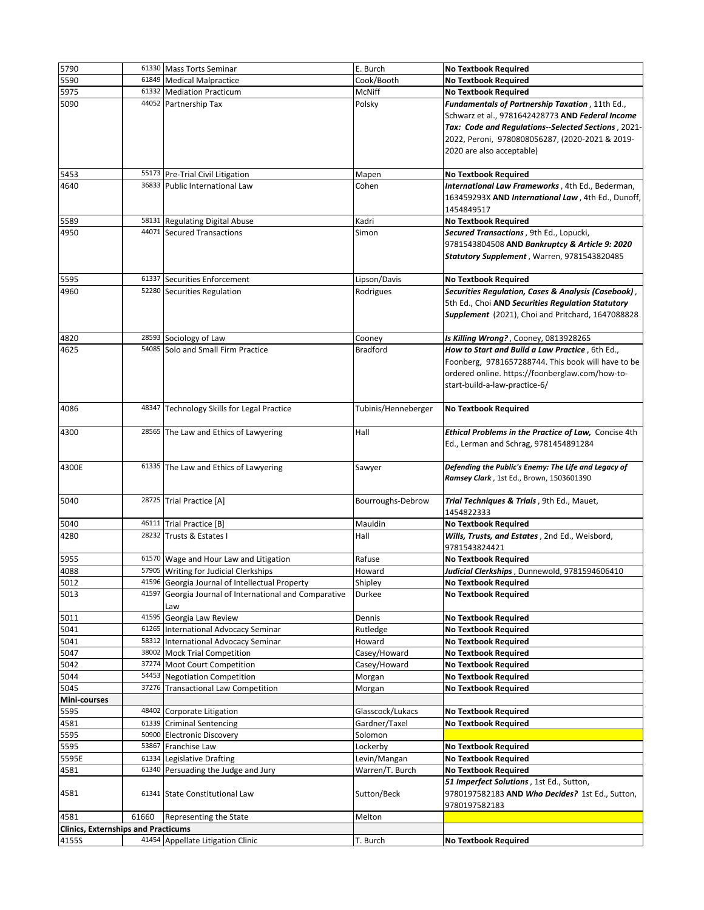| 5790                                       |       | 61330 Mass Torts Seminar                               | E. Burch            | <b>No Textbook Required</b>                          |
|--------------------------------------------|-------|--------------------------------------------------------|---------------------|------------------------------------------------------|
| 5590                                       |       | 61849 Medical Malpractice                              | Cook/Booth          | <b>No Textbook Required</b>                          |
| 5975                                       | 61332 | <b>Mediation Practicum</b>                             | McNiff              | <b>No Textbook Required</b>                          |
| 5090                                       |       | 44052 Partnership Tax                                  | Polsky              | Fundamentals of Partnership Taxation, 11th Ed.,      |
|                                            |       |                                                        |                     | Schwarz et al., 9781642428773 AND Federal Income     |
|                                            |       |                                                        |                     | Tax: Code and Regulations--Selected Sections, 2021-  |
|                                            |       |                                                        |                     | 2022, Peroni, 9780808056287, (2020-2021 & 2019-      |
|                                            |       |                                                        |                     | 2020 are also acceptable)                            |
|                                            |       |                                                        |                     |                                                      |
| 5453                                       |       | 55173 Pre-Trial Civil Litigation                       | Mapen               | <b>No Textbook Required</b>                          |
| 4640                                       |       | 36833 Public International Law                         | Cohen               | International Law Frameworks, 4th Ed., Bederman,     |
|                                            |       |                                                        |                     | 163459293X AND International Law, 4th Ed., Dunoff,   |
|                                            |       |                                                        |                     | 1454849517                                           |
| 5589                                       |       | 58131 Regulating Digital Abuse                         | Kadri               | <b>No Textbook Required</b>                          |
| 4950                                       |       | 44071 Secured Transactions                             | Simon               | Secured Transactions, 9th Ed., Lopucki,              |
|                                            |       |                                                        |                     | 9781543804508 AND Bankruptcy & Article 9: 2020       |
|                                            |       |                                                        |                     | Statutory Supplement, Warren, 9781543820485          |
|                                            |       |                                                        |                     |                                                      |
| 5595                                       |       | 61337 Securities Enforcement                           | Lipson/Davis        | <b>No Textbook Required</b>                          |
| 4960                                       |       | 52280 Securities Regulation                            | Rodrigues           | Securities Regulation, Cases & Analysis (Casebook),  |
|                                            |       |                                                        |                     | 5th Ed., Choi AND Securities Regulation Statutory    |
|                                            |       |                                                        |                     | Supplement (2021), Choi and Pritchard, 1647088828    |
|                                            |       |                                                        |                     |                                                      |
| 4820                                       |       | 28593 Sociology of Law                                 | Cooney              | Is Killing Wrong?, Cooney, 0813928265                |
| 4625                                       |       | 54085 Solo and Small Firm Practice                     | <b>Bradford</b>     | How to Start and Build a Law Practice, 6th Ed.,      |
|                                            |       |                                                        |                     | Foonberg, 9781657288744. This book will have to be   |
|                                            |       |                                                        |                     | ordered online. https://foonberglaw.com/how-to-      |
|                                            |       |                                                        |                     | start-build-a-law-practice-6/                        |
|                                            |       |                                                        |                     |                                                      |
| 4086                                       |       | 48347 Technology Skills for Legal Practice             | Tubinis/Henneberger | <b>No Textbook Required</b>                          |
|                                            |       |                                                        |                     |                                                      |
| 4300                                       |       | 28565 The Law and Ethics of Lawyering                  | Hall                | Ethical Problems in the Practice of Law, Concise 4th |
|                                            |       |                                                        |                     | Ed., Lerman and Schrag, 9781454891284                |
|                                            |       |                                                        |                     |                                                      |
| 4300E                                      |       | 61335 The Law and Ethics of Lawyering                  | Sawyer              | Defending the Public's Enemy: The Life and Legacy of |
|                                            |       |                                                        |                     | Ramsey Clark, 1st Ed., Brown, 1503601390             |
|                                            |       |                                                        |                     |                                                      |
| 5040                                       |       | 28725 Trial Practice [A]                               | Bourroughs-Debrow   | Trial Techniques & Trials, 9th Ed., Mauet,           |
|                                            |       |                                                        |                     | 1454822333                                           |
| 5040                                       |       | 46111 Trial Practice [B]                               | Mauldin             | <b>No Textbook Required</b>                          |
| 4280                                       |       | 28232 Trusts & Estates I                               | Hall                | Wills, Trusts, and Estates, 2nd Ed., Weisbord,       |
|                                            |       |                                                        |                     | 9781543824421                                        |
| 5955                                       |       | 61570 Wage and Hour Law and Litigation                 | Rafuse              | <b>No Textbook Required</b>                          |
| 4088                                       |       | 57905 Writing for Judicial Clerkships                  | Howard              | Judicial Clerkships, Dunnewold, 9781594606410        |
| 5012                                       |       | 41596 Georgia Journal of Intellectual Property         | Shipley             | <b>No Textbook Required</b>                          |
| 5013                                       |       | 41597 Georgia Journal of International and Comparative | Durkee              | <b>No Textbook Required</b>                          |
|                                            |       | Law                                                    |                     |                                                      |
| 5011                                       |       | 41595 Georgia Law Review                               | Dennis              | <b>No Textbook Required</b>                          |
| 5041                                       |       | 61265 International Advocacy Seminar                   | Rutledge            | <b>No Textbook Required</b>                          |
| 5041                                       | 58312 | International Advocacy Seminar                         | Howard              | <b>No Textbook Required</b>                          |
| 5047                                       |       | 38002 Mock Trial Competition                           | Casey/Howard        | <b>No Textbook Required</b>                          |
| 5042                                       | 37274 | <b>Moot Court Competition</b>                          | Casey/Howard        | <b>No Textbook Required</b>                          |
| 5044                                       |       | 54453 Negotiation Competition                          | Morgan              | <b>No Textbook Required</b>                          |
| 5045                                       |       | 37276 Transactional Law Competition                    | Morgan              | <b>No Textbook Required</b>                          |
| Mini-courses                               |       |                                                        |                     |                                                      |
| 5595                                       | 48402 | Corporate Litigation                                   | Glasscock/Lukacs    | <b>No Textbook Required</b>                          |
| 4581                                       |       | 61339 Criminal Sentencing                              | Gardner/Taxel       | <b>No Textbook Required</b>                          |
| 5595                                       |       | 50900 Electronic Discovery                             | Solomon             |                                                      |
| 5595                                       | 53867 | Franchise Law                                          | Lockerby            | <b>No Textbook Required</b>                          |
| 5595E                                      |       | 61334 Legislative Drafting                             | Levin/Mangan        | <b>No Textbook Required</b>                          |
| 4581                                       |       | 61340 Persuading the Judge and Jury                    | Warren/T. Burch     | <b>No Textbook Required</b>                          |
|                                            |       |                                                        |                     | 51 Imperfect Solutions, 1st Ed., Sutton,             |
| 4581                                       |       | 61341 State Constitutional Law                         | Sutton/Beck         | 9780197582183 AND Who Decides? 1st Ed., Sutton,      |
|                                            |       |                                                        |                     | 9780197582183                                        |
| 4581                                       | 61660 | Representing the State                                 | Melton              |                                                      |
| <b>Clinics, Externships and Practicums</b> |       |                                                        |                     |                                                      |
| 4155S                                      |       | 41454 Appellate Litigation Clinic                      | T. Burch            | <b>No Textbook Required</b>                          |
|                                            |       |                                                        |                     |                                                      |